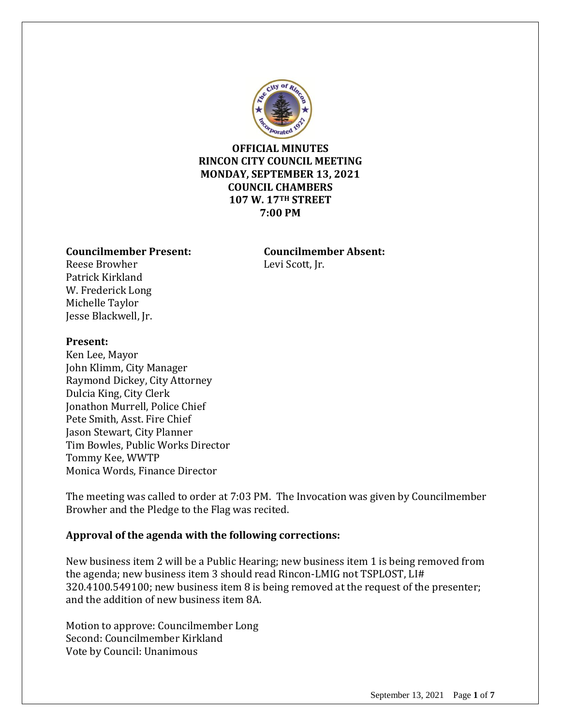

## **OFFICIAL MINUTES RINCON CITY COUNCIL MEETING MONDAY, SEPTEMBER 13, 2021 COUNCIL CHAMBERS 107 W. 17TH STREET 7:00 PM**

#### **Councilmember Present: Councilmember Absent:**

Reese Browher Levi Scott, Jr. Patrick Kirkland W. Frederick Long Michelle Taylor Jesse Blackwell, Jr.

#### **Present:**

Ken Lee, Mayor John Klimm, City Manager Raymond Dickey, City Attorney Dulcia King, City Clerk Jonathon Murrell, Police Chief Pete Smith, Asst. Fire Chief Jason Stewart, City Planner Tim Bowles, Public Works Director Tommy Kee, WWTP Monica Words, Finance Director

The meeting was called to order at 7:03 PM. The Invocation was given by Councilmember Browher and the Pledge to the Flag was recited.

#### **Approval of the agenda with the following corrections:**

New business item 2 will be a Public Hearing; new business item 1 is being removed from the agenda; new business item 3 should read Rincon-LMIG not TSPLOST, LI# 320.4100.549100; new business item 8 is being removed at the request of the presenter; and the addition of new business item 8A.

Motion to approve: Councilmember Long Second: Councilmember Kirkland Vote by Council: Unanimous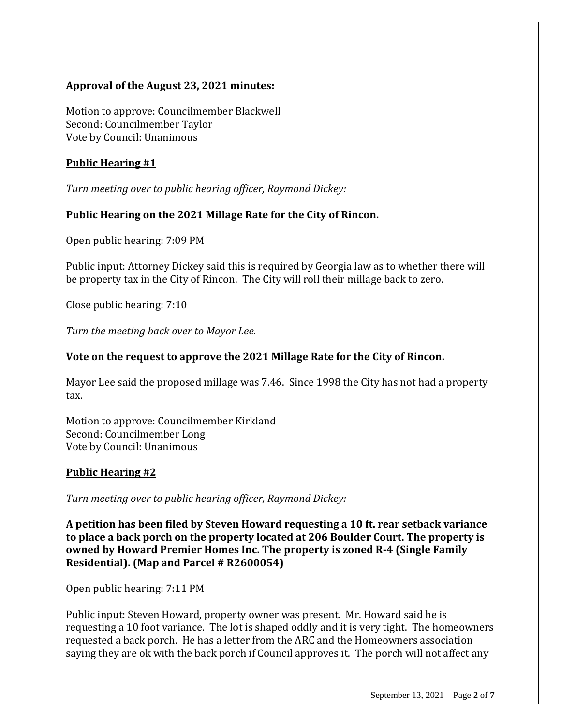# **Approval of the August 23, 2021 minutes:**

Motion to approve: Councilmember Blackwell Second: Councilmember Taylor Vote by Council: Unanimous

## **Public Hearing #1**

*Turn meeting over to public hearing officer, Raymond Dickey:*

## **Public Hearing on the 2021 Millage Rate for the City of Rincon.**

Open public hearing: 7:09 PM

Public input: Attorney Dickey said this is required by Georgia law as to whether there will be property tax in the City of Rincon. The City will roll their millage back to zero.

Close public hearing: 7:10

*Turn the meeting back over to Mayor Lee.*

#### **Vote on the request to approve the 2021 Millage Rate for the City of Rincon.**

Mayor Lee said the proposed millage was 7.46. Since 1998 the City has not had a property tax.

Motion to approve: Councilmember Kirkland Second: Councilmember Long Vote by Council: Unanimous

#### **Public Hearing #2**

*Turn meeting over to public hearing officer, Raymond Dickey:*

**A petition has been filed by Steven Howard requesting a 10 ft. rear setback variance to place a back porch on the property located at 206 Boulder Court. The property is owned by Howard Premier Homes Inc. The property is zoned R-4 (Single Family Residential). (Map and Parcel # R2600054)** 

Open public hearing: 7:11 PM

Public input: Steven Howard, property owner was present. Mr. Howard said he is requesting a 10 foot variance. The lot is shaped oddly and it is very tight. The homeowners requested a back porch. He has a letter from the ARC and the Homeowners association saying they are ok with the back porch if Council approves it. The porch will not affect any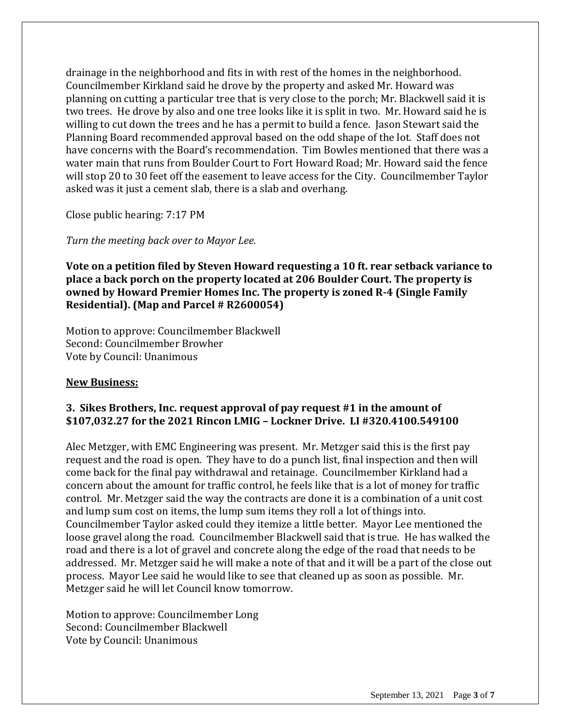drainage in the neighborhood and fits in with rest of the homes in the neighborhood. Councilmember Kirkland said he drove by the property and asked Mr. Howard was planning on cutting a particular tree that is very close to the porch; Mr. Blackwell said it is two trees. He drove by also and one tree looks like it is split in two. Mr. Howard said he is willing to cut down the trees and he has a permit to build a fence. Jason Stewart said the Planning Board recommended approval based on the odd shape of the lot. Staff does not have concerns with the Board's recommendation. Tim Bowles mentioned that there was a water main that runs from Boulder Court to Fort Howard Road; Mr. Howard said the fence will stop 20 to 30 feet off the easement to leave access for the City. Councilmember Taylor asked was it just a cement slab, there is a slab and overhang.

Close public hearing: 7:17 PM

*Turn the meeting back over to Mayor Lee.*

**Vote on a petition filed by Steven Howard requesting a 10 ft. rear setback variance to place a back porch on the property located at 206 Boulder Court. The property is owned by Howard Premier Homes Inc. The property is zoned R-4 (Single Family Residential). (Map and Parcel # R2600054)**

Motion to approve: Councilmember Blackwell Second: Councilmember Browher Vote by Council: Unanimous

## **New Business:**

# **3. Sikes Brothers, Inc. request approval of pay request #1 in the amount of \$107,032.27 for the 2021 Rincon LMIG – Lockner Drive. LI #320.4100.549100**

Alec Metzger, with EMC Engineering was present. Mr. Metzger said this is the first pay request and the road is open. They have to do a punch list, final inspection and then will come back for the final pay withdrawal and retainage. Councilmember Kirkland had a concern about the amount for traffic control, he feels like that is a lot of money for traffic control. Mr. Metzger said the way the contracts are done it is a combination of a unit cost and lump sum cost on items, the lump sum items they roll a lot of things into. Councilmember Taylor asked could they itemize a little better. Mayor Lee mentioned the loose gravel along the road. Councilmember Blackwell said that is true. He has walked the road and there is a lot of gravel and concrete along the edge of the road that needs to be addressed. Mr. Metzger said he will make a note of that and it will be a part of the close out process. Mayor Lee said he would like to see that cleaned up as soon as possible. Mr. Metzger said he will let Council know tomorrow.

Motion to approve: Councilmember Long Second: Councilmember Blackwell Vote by Council: Unanimous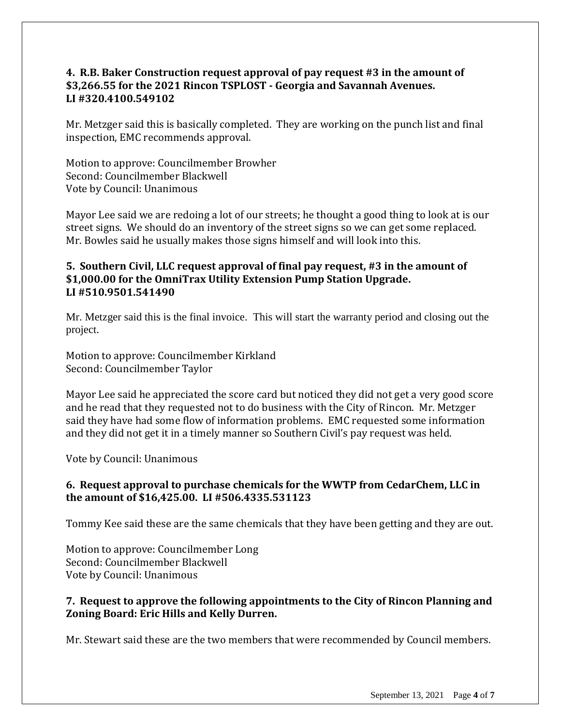## **4. R.B. Baker Construction request approval of pay request #3 in the amount of \$3,266.55 for the 2021 Rincon TSPLOST - Georgia and Savannah Avenues. LI #320.4100.549102**

Mr. Metzger said this is basically completed. They are working on the punch list and final inspection, EMC recommends approval.

Motion to approve: Councilmember Browher Second: Councilmember Blackwell Vote by Council: Unanimous

Mayor Lee said we are redoing a lot of our streets; he thought a good thing to look at is our street signs. We should do an inventory of the street signs so we can get some replaced. Mr. Bowles said he usually makes those signs himself and will look into this.

## **5. Southern Civil, LLC request approval of final pay request, #3 in the amount of \$1,000.00 for the OmniTrax Utility Extension Pump Station Upgrade. LI #510.9501.541490**

Mr. Metzger said this is the final invoice. This will start the warranty period and closing out the project.

Motion to approve: Councilmember Kirkland Second: Councilmember Taylor

Mayor Lee said he appreciated the score card but noticed they did not get a very good score and he read that they requested not to do business with the City of Rincon. Mr. Metzger said they have had some flow of information problems. EMC requested some information and they did not get it in a timely manner so Southern Civil's pay request was held.

Vote by Council: Unanimous

# **6. Request approval to purchase chemicals for the WWTP from CedarChem, LLC in the amount of \$16,425.00. LI #506.4335.531123**

Tommy Kee said these are the same chemicals that they have been getting and they are out.

Motion to approve: Councilmember Long Second: Councilmember Blackwell Vote by Council: Unanimous

# **7. Request to approve the following appointments to the City of Rincon Planning and Zoning Board: Eric Hills and Kelly Durren.**

Mr. Stewart said these are the two members that were recommended by Council members.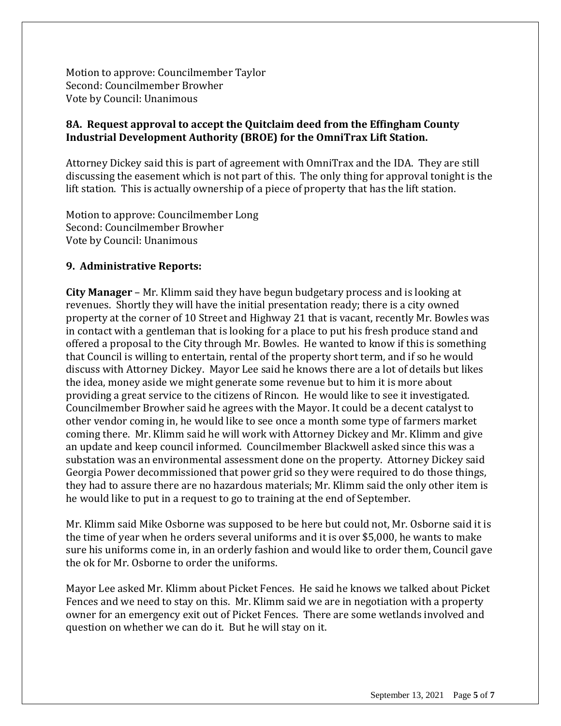Motion to approve: Councilmember Taylor Second: Councilmember Browher Vote by Council: Unanimous

## **8A. Request approval to accept the Quitclaim deed from the Effingham County Industrial Development Authority (BROE) for the OmniTrax Lift Station.**

Attorney Dickey said this is part of agreement with OmniTrax and the IDA. They are still discussing the easement which is not part of this. The only thing for approval tonight is the lift station. This is actually ownership of a piece of property that has the lift station.

Motion to approve: Councilmember Long Second: Councilmember Browher Vote by Council: Unanimous

## **9. Administrative Reports:**

**City Manager** – Mr. Klimm said they have begun budgetary process and is looking at revenues. Shortly they will have the initial presentation ready; there is a city owned property at the corner of 10 Street and Highway 21 that is vacant, recently Mr. Bowles was in contact with a gentleman that is looking for a place to put his fresh produce stand and offered a proposal to the City through Mr. Bowles. He wanted to know if this is something that Council is willing to entertain, rental of the property short term, and if so he would discuss with Attorney Dickey. Mayor Lee said he knows there are a lot of details but likes the idea, money aside we might generate some revenue but to him it is more about providing a great service to the citizens of Rincon. He would like to see it investigated. Councilmember Browher said he agrees with the Mayor. It could be a decent catalyst to other vendor coming in, he would like to see once a month some type of farmers market coming there. Mr. Klimm said he will work with Attorney Dickey and Mr. Klimm and give an update and keep council informed. Councilmember Blackwell asked since this was a substation was an environmental assessment done on the property. Attorney Dickey said Georgia Power decommissioned that power grid so they were required to do those things, they had to assure there are no hazardous materials; Mr. Klimm said the only other item is he would like to put in a request to go to training at the end of September.

Mr. Klimm said Mike Osborne was supposed to be here but could not, Mr. Osborne said it is the time of year when he orders several uniforms and it is over \$5,000, he wants to make sure his uniforms come in, in an orderly fashion and would like to order them, Council gave the ok for Mr. Osborne to order the uniforms.

Mayor Lee asked Mr. Klimm about Picket Fences. He said he knows we talked about Picket Fences and we need to stay on this. Mr. Klimm said we are in negotiation with a property owner for an emergency exit out of Picket Fences. There are some wetlands involved and question on whether we can do it. But he will stay on it.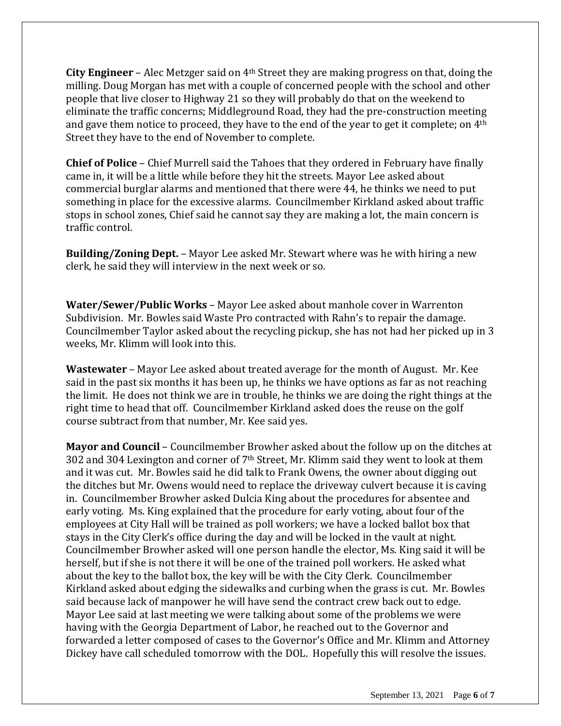**City Engineer** – Alec Metzger said on 4th Street they are making progress on that, doing the milling. Doug Morgan has met with a couple of concerned people with the school and other people that live closer to Highway 21 so they will probably do that on the weekend to eliminate the traffic concerns; Middleground Road, they had the pre-construction meeting and gave them notice to proceed, they have to the end of the year to get it complete; on 4th Street they have to the end of November to complete.

**Chief of Police** – Chief Murrell said the Tahoes that they ordered in February have finally came in, it will be a little while before they hit the streets. Mayor Lee asked about commercial burglar alarms and mentioned that there were 44, he thinks we need to put something in place for the excessive alarms. Councilmember Kirkland asked about traffic stops in school zones, Chief said he cannot say they are making a lot, the main concern is traffic control.

**Building/Zoning Dept.** – Mayor Lee asked Mr. Stewart where was he with hiring a new clerk, he said they will interview in the next week or so.

**Water/Sewer/Public Works** – Mayor Lee asked about manhole cover in Warrenton Subdivision. Mr. Bowles said Waste Pro contracted with Rahn's to repair the damage. Councilmember Taylor asked about the recycling pickup, she has not had her picked up in 3 weeks, Mr. Klimm will look into this.

**Wastewater** – Mayor Lee asked about treated average for the month of August. Mr. Kee said in the past six months it has been up, he thinks we have options as far as not reaching the limit. He does not think we are in trouble, he thinks we are doing the right things at the right time to head that off. Councilmember Kirkland asked does the reuse on the golf course subtract from that number, Mr. Kee said yes.

**Mayor and Council** – Councilmember Browher asked about the follow up on the ditches at 302 and 304 Lexington and corner of 7th Street, Mr. Klimm said they went to look at them and it was cut. Mr. Bowles said he did talk to Frank Owens, the owner about digging out the ditches but Mr. Owens would need to replace the driveway culvert because it is caving in. Councilmember Browher asked Dulcia King about the procedures for absentee and early voting. Ms. King explained that the procedure for early voting, about four of the employees at City Hall will be trained as poll workers; we have a locked ballot box that stays in the City Clerk's office during the day and will be locked in the vault at night. Councilmember Browher asked will one person handle the elector, Ms. King said it will be herself, but if she is not there it will be one of the trained poll workers. He asked what about the key to the ballot box, the key will be with the City Clerk. Councilmember Kirkland asked about edging the sidewalks and curbing when the grass is cut. Mr. Bowles said because lack of manpower he will have send the contract crew back out to edge. Mayor Lee said at last meeting we were talking about some of the problems we were having with the Georgia Department of Labor, he reached out to the Governor and forwarded a letter composed of cases to the Governor's Office and Mr. Klimm and Attorney Dickey have call scheduled tomorrow with the DOL. Hopefully this will resolve the issues.